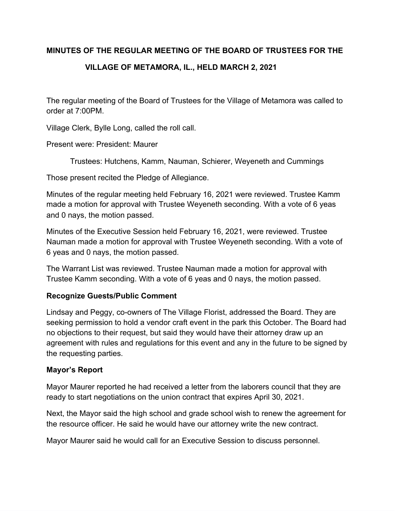# **MINUTES OF THE REGULAR MEETING OF THE BOARD OF TRUSTEES FOR THE**

# **VILLAGE OF METAMORA, IL., HELD MARCH 2, 2021**

The regular meeting of the Board of Trustees for the Village of Metamora was called to order at 7:00PM.

Village Clerk, Bylle Long, called the roll call.

Present were: President: Maurer

Trustees: Hutchens, Kamm, Nauman, Schierer, Weyeneth and Cummings

Those present recited the Pledge of Allegiance.

Minutes of the regular meeting held February 16, 2021 were reviewed. Trustee Kamm made a motion for approval with Trustee Weyeneth seconding. With a vote of 6 yeas and 0 nays, the motion passed.

Minutes of the Executive Session held February 16, 2021, were reviewed. Trustee Nauman made a motion for approval with Trustee Weyeneth seconding. With a vote of 6 yeas and 0 nays, the motion passed.

The Warrant List was reviewed. Trustee Nauman made a motion for approval with Trustee Kamm seconding. With a vote of 6 yeas and 0 nays, the motion passed.

# **Recognize Guests/Public Comment**

Lindsay and Peggy, co-owners of The Village Florist, addressed the Board. They are seeking permission to hold a vendor craft event in the park this October. The Board had no objections to their request, but said they would have their attorney draw up an agreement with rules and regulations for this event and any in the future to be signed by the requesting parties.

# **Mayor's Report**

Mayor Maurer reported he had received a letter from the laborers council that they are ready to start negotiations on the union contract that expires April 30, 2021.

Next, the Mayor said the high school and grade school wish to renew the agreement for the resource officer. He said he would have our attorney write the new contract.

Mayor Maurer said he would call for an Executive Session to discuss personnel.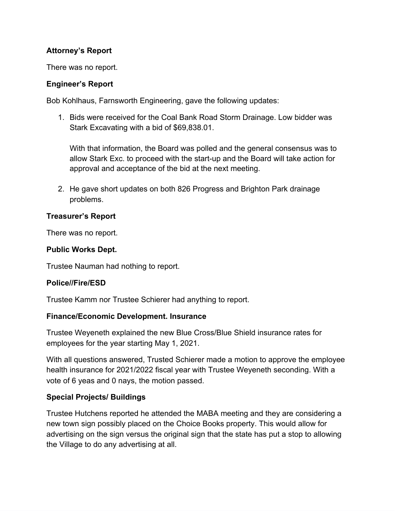# **Attorney's Report**

There was no report.

## **Engineer's Report**

Bob Kohlhaus, Farnsworth Engineering, gave the following updates:

1. Bids were received for the Coal Bank Road Storm Drainage. Low bidder was Stark Excavating with a bid of \$69,838.01.

With that information, the Board was polled and the general consensus was to allow Stark Exc. to proceed with the start-up and the Board will take action for approval and acceptance of the bid at the next meeting.

2. He gave short updates on both 826 Progress and Brighton Park drainage problems.

## **Treasurer's Report**

There was no report.

## **Public Works Dept.**

Trustee Nauman had nothing to report.

#### **Police//Fire/ESD**

Trustee Kamm nor Trustee Schierer had anything to report.

#### **Finance/Economic Development. Insurance**

Trustee Weyeneth explained the new Blue Cross/Blue Shield insurance rates for employees for the year starting May 1, 2021.

With all questions answered, Trusted Schierer made a motion to approve the employee health insurance for 2021/2022 fiscal year with Trustee Weyeneth seconding. With a vote of 6 yeas and 0 nays, the motion passed.

# **Special Projects/ Buildings**

Trustee Hutchens reported he attended the MABA meeting and they are considering a new town sign possibly placed on the Choice Books property. This would allow for advertising on the sign versus the original sign that the state has put a stop to allowing the Village to do any advertising at all.